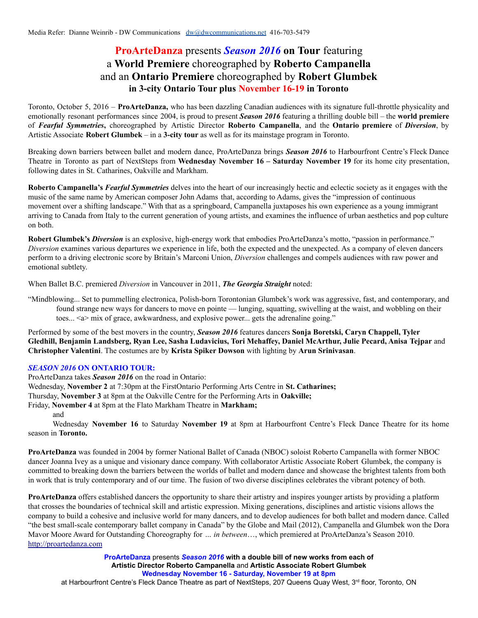## **ProArteDanza** presents *Season 2016* **on Tour** featuring a **World Premiere** choreographed by **Roberto Campanella** and an **Ontario Premiere** choreographed by **Robert Glumbek in 3-city Ontario Tour plus November 16-19 in Toronto**

Toronto, October 5, 2016 – **ProArteDanza,** who has been dazzling Canadian audiences with its signature full-throttle physicality and emotionally resonant performances since 2004, is proud to present *Season 2016* featuring a thrilling double bill – the **world premiere** of *Fearful Symmetries***,** choreographed by Artistic Director **Roberto Campanella**, and the **Ontario premiere** of *Diversion*, by Artistic Associate **Robert Glumbek** – in a **3-city tour** as well as for its mainstage program in Toronto.

Breaking down barriers between ballet and modern dance, ProArteDanza brings *Season 2016* to Harbourfront Centre's Fleck Dance Theatre in Toronto as part of NextSteps from **Wednesday November 16 – Saturday November 19** for its home city presentation, following dates in St. Catharines, Oakville and Markham.

**Roberto Campanella's** *Fearful Symmetries* delves into the heart of our increasingly hectic and eclectic society as it engages with the music of the same name by American composer John Adams that, according to Adams, gives the "impression of continuous movement over a shifting landscape." With that as a springboard, Campanella juxtaposes his own experience as a young immigrant arriving to Canada from Italy to the current generation of young artists, and examines the influence of urban aesthetics and pop culture on both.

**Robert Glumbek's** *Diversion* is an explosive, high-energy work that embodies ProArteDanza's motto, "passion in performance." *Diversion* examines various departures we experience in life, both the expected and the unexpected. As a company of eleven dancers perform to a driving electronic score by Britain's Marconi Union, *Diversion* challenges and compels audiences with raw power and emotional subtlety.

When Ballet B.C. premiered *Diversion* in Vancouver in 2011, *The Georgia Straight* noted:

"Mindblowing... Set to pummelling electronica, Polish-born Torontonian Glumbek's work was aggressive, fast, and contemporary, and found strange new ways for dancers to move en pointe — lunging, squatting, swivelling at the waist, and wobbling on their toes... <a> mix of grace, awkwardness, and explosive power... gets the adrenaline going."

Performed by some of the best movers in the country, *Season 2016* features dancers **Sonja Boretski, Caryn Chappell, Tyler** Gledhill, Benjamin Landsberg, Ryan Lee, Sasha Ludavicius, Tori Mehaffey, Daniel McArthur, Julie Pecard, Anisa Tejpar and **Christopher Valentini**. The costumes are by **Krista Spiker Dowson** with lighting by **Arun Srinivasan**.

## *SEASON 2016* **ON ONTARIO TOUR:**

ProArteDanza takes *Season 2016* on the road in Ontario:

Wednesday, **November 2** at 7:30pm at the FirstOntario Performing Arts Centre in **St. Catharines;**

Thursday, **November 3** at 8pm at the Oakville Centre for the Performing Arts in **Oakville;**

Friday, **November 4** at 8pm at the Flato Markham Theatre in **Markham;**

and

Wednesday **November 16** to Saturday **November 19** at 8pm at Harbourfront Centre's Fleck Dance Theatre for its home season in **Toronto.**

**ProArteDanza** was founded in 2004 by former National Ballet of Canada (NBOC) soloist Roberto Campanella with former NBOC dancer Joanna Ivey as a unique and visionary dance company. With collaborator Artistic Associate Robert Glumbek, the company is committed to breaking down the barriers between the worlds of ballet and modern dance and showcase the brightest talents from both in work that is truly contemporary and of our time. The fusion of two diverse disciplines celebrates the vibrant potency of both.

**ProArteDanza** offers established dancers the opportunity to share their artistry and inspires younger artists by providing a platform that crosses the boundaries of technical skill and artistic expression. Mixing generations, disciplines and artistic visions allows the company to build a cohesive and inclusive world for many dancers, and to develop audiences for both ballet and modern dance. Called "the best small-scale contemporary ballet company in Canada" by the Globe and Mail (2012), Campanella and Glumbek won the Dora Mavor Moore Award for Outstanding Choreography for *… in between*…, which premiered at ProArteDanza's Season 2010. <http://proartedanza.com>

> **ProArteDanza** presents *Season 2016* **with a double bill of new works from each of Artistic Director Roberto Campanella** and **Artistic Associate Robert Glumbek Wednesday November 16 - Saturday, November 19 at 8pm**

at Harbourfront Centre's Fleck Dance Theatre as part of NextSteps, 207 Queens Quay West, 3<sup>rd</sup> floor, Toronto, ON